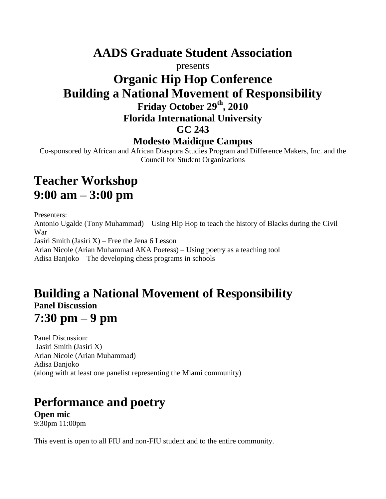**AADS Graduate Student Association**

presents

## **Organic Hip Hop Conference Building a National Movement of Responsibility Friday October 29th, 2010 Florida International University GC 243**

#### **Modesto Maidique Campus**

Co-sponsored by African and African Diaspora Studies Program and Difference Makers, Inc. and the Council for Student Organizations

# **Teacher Workshop 9:00 am – 3:00 pm**

Presenters: Antonio Ugalde (Tony Muhammad) – Using Hip Hop to teach the history of Blacks during the Civil War Jasiri Smith (Jasiri X) – Free the Jena 6 Lesson Arian Nicole (Arian Muhammad AKA Poetess) – Using poetry as a teaching tool Adisa Banjoko – The developing chess programs in schools

### **Building a National Movement of Responsibility Panel Discussion 7:30 pm – 9 pm**

Panel Discussion: Jasiri Smith (Jasiri X) Arian Nicole (Arian Muhammad) Adisa Banjoko (along with at least one panelist representing the Miami community)

# **Performance and poetry**

**Open mic** 9:30pm 11:00pm

This event is open to all FIU and non-FIU student and to the entire community.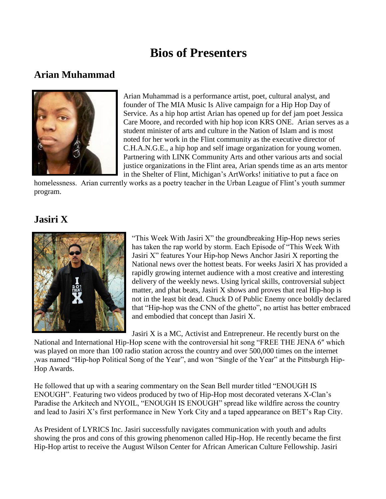## **Bios of Presenters**

### **Arian Muhammad**



Arian Muhammad is a performance artist, poet, cultural analyst, and founder of The MIA Music Is Alive campaign for a Hip Hop Day of Service. As a hip hop artist Arian has opened up for def jam poet Jessica Care Moore, and recorded with hip hop icon KRS ONE. Arian serves as a student minister of arts and culture in the Nation of Islam and is most noted for her work in the Flint community as the executive director of C.H.A.N.G.E., a hip hop and self image organization for young women. Partnering with LINK Community Arts and other various arts and social justice organizations in the Flint area, Arian spends time as an arts mentor in the Shelter of Flint, Michigan's ArtWorks! initiative to put a face on

homelessness. Arian currently works as a poetry teacher in the Urban League of Flint's youth summer program.

#### **Jasiri X**



"This Week With Jasiri X" the groundbreaking Hip-Hop news series has taken the rap world by storm. Each Episode of "This Week With Jasiri X" features Your Hip-hop News Anchor Jasiri X reporting the National news over the hottest beats. For weeks Jasiri X has provided a rapidly growing internet audience with a most creative and interesting delivery of the weekly news. Using lyrical skills, controversial subject matter, and phat beats, Jasiri X shows and proves that real Hip-hop is not in the least bit dead. Chuck D of Public Enemy once boldly declared that "Hip-hop was the CNN of the ghetto", no artist has better embraced and embodied that concept than Jasiri X.

Jasiri X is a MC, Activist and Entrepreneur. He recently burst on the

National and International Hip-Hop scene with the controversial hit song "FREE THE JENA 6″ which was played on more than 100 radio station across the country and over 500,000 times on the internet ,was named "Hip-hop Political Song of the Year", and won "Single of the Year" at the Pittsburgh Hip-Hop Awards.

He followed that up with a searing commentary on the Sean Bell murder titled "ENOUGH IS ENOUGH". Featuring two videos produced by two of Hip-Hop most decorated veterans X-Clan's Paradise the Arkitech and NYOIL, "ENOUGH IS ENOUGH" spread like wildfire across the country and lead to Jasiri X's first performance in New York City and a taped appearance on BET's Rap City.

As President of LYRICS Inc. Jasiri successfully navigates communication with youth and adults showing the pros and cons of this growing phenomenon called Hip-Hop. He recently became the first Hip-Hop artist to receive the August Wilson Center for African American Culture Fellowship. Jasiri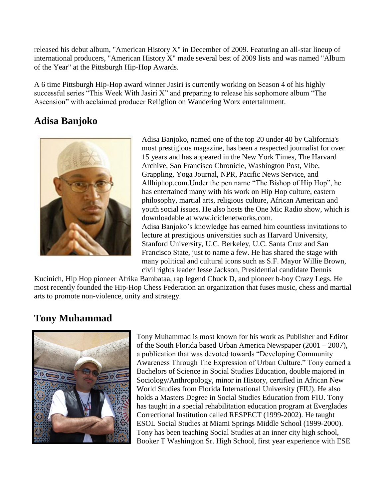released his debut album, "American History X" in December of 2009. Featuring an all-star lineup of international producers, "American History X" made several best of 2009 lists and was named "Album of the Year" at the Pittsburgh Hip-Hop Awards.

A 6 time Pittsburgh Hip-Hop award winner Jasiri is currently working on Season 4 of his highly successful series "This Week With Jasiri X" and preparing to release his sophomore album "The Ascension" with acclaimed producer Rel!g!ion on Wandering Worx entertainment.

### **Adisa Banjoko**



Adisa Banjoko, named one of the top 20 under 40 by California's most prestigious magazine, has been a respected journalist for over 15 years and has appeared in the New York Times, The Harvard Archive, San Francisco Chronicle, Washington Post, Vibe, Grappling, Yoga Journal, NPR, Pacific News Service, and Allhiphop.com.Under the pen name "The Bishop of Hip Hop", he has entertained many with his work on Hip Hop culture, eastern philosophy, martial arts, religious culture, African American and youth social issues. He also hosts the One Mic Radio show, which is downloadable at www.iciclenetworks.com. Adisa Banjoko's knowledge has earned him countless invitations to lecture at prestigious universities such as Harvard University, Stanford University, U.C. Berkeley, U.C. Santa Cruz and San Francisco State, just to name a few. He has shared the stage with many political and cultural icons such as S.F. Mayor Willie Brown, civil rights leader Jesse Jackson, Presidential candidate Dennis

Kucinich, Hip Hop pioneer Afrika Bambataa, rap legend Chuck D, and pioneer b-boy Crazy Legs. He most recently founded the Hip-Hop Chess Federation an organization that fuses music, chess and martial arts to promote non-violence, unity and strategy.

### **Tony Muhammad**



Tony Muhammad is most known for his work as Publisher and Editor of the South Florida based Urban America Newspaper (2001 – 2007), a publication that was devoted towards "Developing Community Awareness Through The Expression of Urban Culture." Tony earned a Bachelors of Science in Social Studies Education, double majored in Sociology/Anthropology, minor in History, certified in African New World Studies from Florida International University (FIU). He also holds a Masters Degree in Social Studies Education from FIU. Tony has taught in a special rehabilitation education program at Everglades Correctional Institution called RESPECT (1999-2002). He taught ESOL Social Studies at Miami Springs Middle School (1999-2000). Tony has been teaching Social Studies at an inner city high school, Booker T Washington Sr. High School, first year experience with ESE